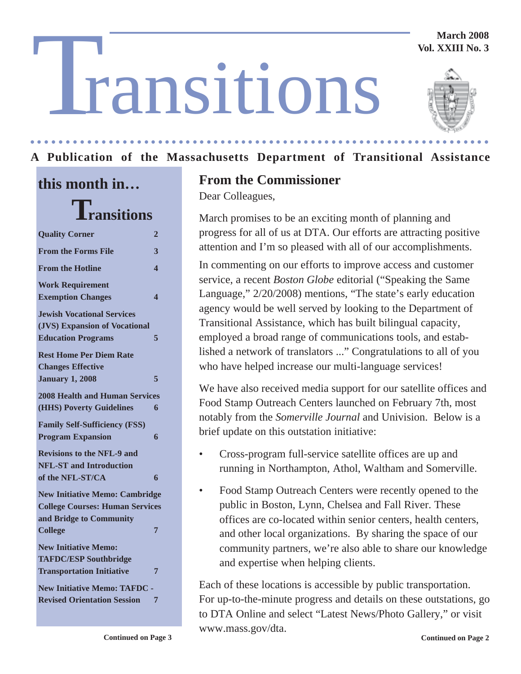#### **March 2008 Vol. XXIII No. 3**

# T ransitions



#### **A Publication of the Massachusetts Department of Transitional Assistance** ○○○○○○○○○○○○○○○ ○○○○○○○○○○○○○○○○○○○○○○○○○○○○○○○○○○○○○○○○○○○○○○○○○○○

# **this month in… Transitions**

| <b>Quality Corner</b>                                                                                      | 2                       |
|------------------------------------------------------------------------------------------------------------|-------------------------|
| <b>From the Forms File</b>                                                                                 | 3                       |
| <b>From the Hotline</b>                                                                                    | $\overline{\mathbf{4}}$ |
| <b>Work Requirement</b><br><b>Exemption Changes</b>                                                        | 4                       |
| <b>Jewish Vocational Services</b><br>(JVS) Expansion of Vocational<br><b>Education Programs</b>            | 5                       |
| <b>Rest Home Per Diem Rate</b><br><b>Changes Effective</b><br><b>January 1, 2008</b>                       | 5                       |
| <b>2008 Health and Human Services</b><br>(HHS) Poverty Guidelines                                          | 6                       |
| <b>Family Self-Sufficiency (FSS)</b><br><b>Program Expansion</b>                                           | 6                       |
| <b>Revisions to the NFL-9 and</b><br><b>NFL-ST and Introduction</b><br>of the NFL-ST/CA                    | 6                       |
| <b>New Initiative Memo: Cambridge</b><br><b>College Courses: Human Services</b><br>and Bridge to Community |                         |
| <b>College</b>                                                                                             | 7                       |
| <b>New Initiative Memo:</b><br><b>TAFDC/ESP Southbridge</b><br><b>Transportation Initiative</b>            | 7                       |
| <b>New Initiative Memo: TAFDC</b><br><b>Revised Orientation Session</b>                                    | 7                       |

# **From the Commissioner**

Dear Colleagues,

March promises to be an exciting month of planning and progress for all of us at DTA. Our efforts are attracting positive attention and I'm so pleased with all of our accomplishments.

In commenting on our efforts to improve access and customer service, a recent *Boston Globe* editorial ("Speaking the Same Language," 2/20/2008) mentions, "The state's early education agency would be well served by looking to the Department of Transitional Assistance, which has built bilingual capacity, employed a broad range of communications tools, and established a network of translators ..." Congratulations to all of you who have helped increase our multi-language services!

We have also received media support for our satellite offices and Food Stamp Outreach Centers launched on February 7th, most notably from the *Somerville Journal* and Univision. Below is a brief update on this outstation initiative:

- Cross-program full-service satellite offices are up and running in Northampton, Athol, Waltham and Somerville.
- Food Stamp Outreach Centers were recently opened to the public in Boston, Lynn, Chelsea and Fall River. These offices are co-located within senior centers, health centers, and other local organizations. By sharing the space of our community partners, we're also able to share our knowledge and expertise when helping clients.

Each of these locations is accessible by public transportation. For up-to-the-minute progress and details on these outstations, go to DTA Online and select "Latest News/Photo Gallery," or visit www.mass.gov/dta.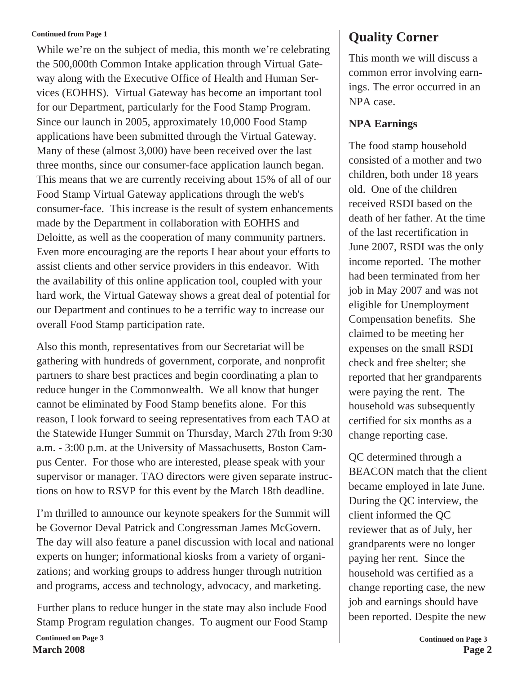#### **Continued from Page 1**

While we're on the subject of media, this month we're celebrating the 500,000th Common Intake application through Virtual Gateway along with the Executive Office of Health and Human Services (EOHHS). Virtual Gateway has become an important tool for our Department, particularly for the Food Stamp Program. Since our launch in 2005, approximately 10,000 Food Stamp applications have been submitted through the Virtual Gateway. Many of these (almost 3,000) have been received over the last three months, since our consumer-face application launch began. This means that we are currently receiving about 15% of all of our Food Stamp Virtual Gateway applications through the web's consumer-face. This increase is the result of system enhancements made by the Department in collaboration with EOHHS and Deloitte, as well as the cooperation of many community partners. Even more encouraging are the reports I hear about your efforts to assist clients and other service providers in this endeavor. With the availability of this online application tool, coupled with your hard work, the Virtual Gateway shows a great deal of potential for our Department and continues to be a terrific way to increase our overall Food Stamp participation rate.

Also this month, representatives from our Secretariat will be gathering with hundreds of government, corporate, and nonprofit partners to share best practices and begin coordinating a plan to reduce hunger in the Commonwealth. We all know that hunger cannot be eliminated by Food Stamp benefits alone. For this reason, I look forward to seeing representatives from each TAO at the Statewide Hunger Summit on Thursday, March 27th from 9:30 a.m. - 3:00 p.m. at the University of Massachusetts, Boston Campus Center. For those who are interested, please speak with your supervisor or manager. TAO directors were given separate instructions on how to RSVP for this event by the March 18th deadline.

I'm thrilled to announce our keynote speakers for the Summit will be Governor Deval Patrick and Congressman James McGovern. The day will also feature a panel discussion with local and national experts on hunger; informational kiosks from a variety of organizations; and working groups to address hunger through nutrition and programs, access and technology, advocacy, and marketing.

**March 2008 Page 2 Continued on Page 3** Further plans to reduce hunger in the state may also include Food Stamp Program regulation changes. To augment our Food Stamp

# **Quality Corner**

This month we will discuss a common error involving earnings. The error occurred in an NPA case.

#### **NPA Earnings**

The food stamp household consisted of a mother and two children, both under 18 years old. One of the children received RSDI based on the death of her father. At the time of the last recertification in June 2007, RSDI was the only income reported. The mother had been terminated from her job in May 2007 and was not eligible for Unemployment Compensation benefits. She claimed to be meeting her expenses on the small RSDI check and free shelter; she reported that her grandparents were paying the rent. The household was subsequently certified for six months as a change reporting case.

QC determined through a BEACON match that the client became employed in late June. During the QC interview, the client informed the QC reviewer that as of July, her grandparents were no longer paying her rent. Since the household was certified as a change reporting case, the new job and earnings should have been reported. Despite the new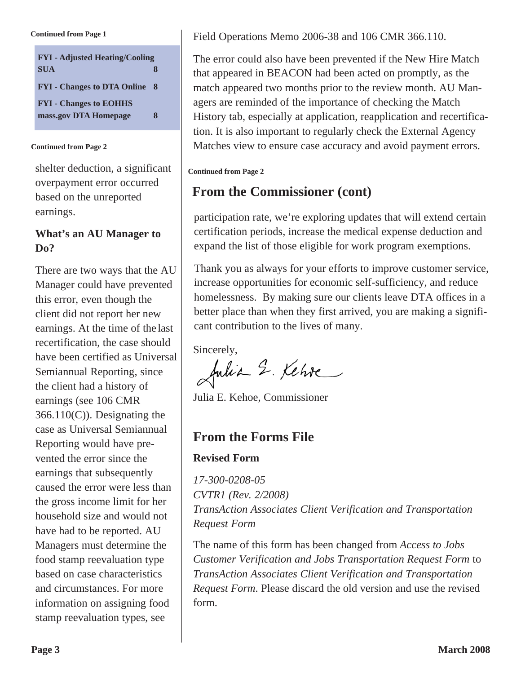**Continued from Page 1**

| <b>FYI</b> - Adjusted Heating/Cooling |    |
|---------------------------------------|----|
| <b>SUA</b>                            | Я  |
| <b>FYI</b> - Changes to DTA Online    | -8 |
| <b>FYI - Changes to EOHHS</b>         |    |
| mass.gov DTA Homepage                 | 8  |

#### **Continued from Page 2**

shelter deduction, a significant overpayment error occurred based on the unreported earnings.

#### **What's an AU Manager to Do?**

There are two ways that the AU Manager could have prevented this error, even though the client did not report her new earnings. At the time of the last recertification, the case should have been certified as Universal Semiannual Reporting, since the client had a history of earnings (see 106 CMR  $366.110(C)$ ). Designating the case as Universal Semiannual Reporting would have prevented the error since the earnings that subsequently caused the error were less than the gross income limit for her household size and would not have had to be reported. AU Managers must determine the food stamp reevaluation type based on case characteristics and circumstances. For more information on assigning food stamp reevaluation types, see

Field Operations Memo 2006-38 and 106 CMR 366.110.

The error could also have been prevented if the New Hire Match that appeared in BEACON had been acted on promptly, as the match appeared two months prior to the review month. AU Managers are reminded of the importance of checking the Match History tab, especially at application, reapplication and recertification. It is also important to regularly check the External Agency Matches view to ensure case accuracy and avoid payment errors.

#### **Continued from Page 2**

## **From the Commissioner (cont)**

participation rate, we're exploring updates that will extend certain certification periods, increase the medical expense deduction and expand the list of those eligible for work program exemptions.

Thank you as always for your efforts to improve customer service, increase opportunities for economic self-sufficiency, and reduce homelessness. By making sure our clients leave DTA offices in a better place than when they first arrived, you are making a significant contribution to the lives of many.

Sincerely,<br>Julia 2. Kehre

Julia E. Kehoe, Commissioner

# **From the Forms File**

#### **Revised Form**

*17-300-0208-05 CVTR1 (Rev. 2/2008) TransAction Associates Client Verification and Transportation Request Form*

The name of this form has been changed from *Access to Jobs Customer Verification and Jobs Transportation Request Form* to *TransAction Associates Client Verification and Transportation Request Form*. Please discard the old version and use the revised form.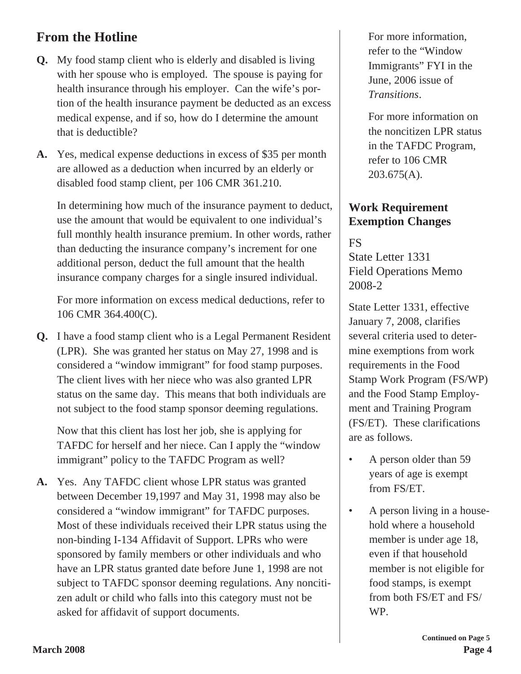# **From the Hotline**

- **Q.** My food stamp client who is elderly and disabled is living with her spouse who is employed. The spouse is paying for health insurance through his employer. Can the wife's portion of the health insurance payment be deducted as an excess medical expense, and if so, how do I determine the amount that is deductible?
- **A.** Yes, medical expense deductions in excess of \$35 per month are allowed as a deduction when incurred by an elderly or disabled food stamp client, per 106 CMR 361.210.

In determining how much of the insurance payment to deduct, use the amount that would be equivalent to one individual's full monthly health insurance premium. In other words, rather than deducting the insurance company's increment for one additional person, deduct the full amount that the health insurance company charges for a single insured individual.

For more information on excess medical deductions, refer to 106 CMR 364.400(C).

**Q.** I have a food stamp client who is a Legal Permanent Resident (LPR). She was granted her status on May 27, 1998 and is considered a "window immigrant" for food stamp purposes. The client lives with her niece who was also granted LPR status on the same day. This means that both individuals are not subject to the food stamp sponsor deeming regulations.

Now that this client has lost her job, she is applying for TAFDC for herself and her niece. Can I apply the "window immigrant" policy to the TAFDC Program as well?

**A.** Yes. Any TAFDC client whose LPR status was granted between December 19,1997 and May 31, 1998 may also be considered a "window immigrant" for TAFDC purposes. Most of these individuals received their LPR status using the non-binding I-134 Affidavit of Support. LPRs who were sponsored by family members or other individuals and who have an LPR status granted date before June 1, 1998 are not subject to TAFDC sponsor deeming regulations. Any noncitizen adult or child who falls into this category must not be asked for affidavit of support documents.

For more information, refer to the "Window Immigrants" FYI in the June, 2006 issue of *Transitions*.

For more information on the noncitizen LPR status in the TAFDC Program, refer to 106 CMR 203.675(A).

#### **Work Requirement Exemption Changes**

FS State Letter 1331 Field Operations Memo 2008-2

State Letter 1331, effective January 7, 2008, clarifies several criteria used to determine exemptions from work requirements in the Food Stamp Work Program (FS/WP) and the Food Stamp Employment and Training Program (FS/ET). These clarifications are as follows.

- A person older than 59 years of age is exempt from FS/ET.
- A person living in a household where a household member is under age 18, even if that household member is not eligible for food stamps, is exempt from both FS/ET and FS/ WP.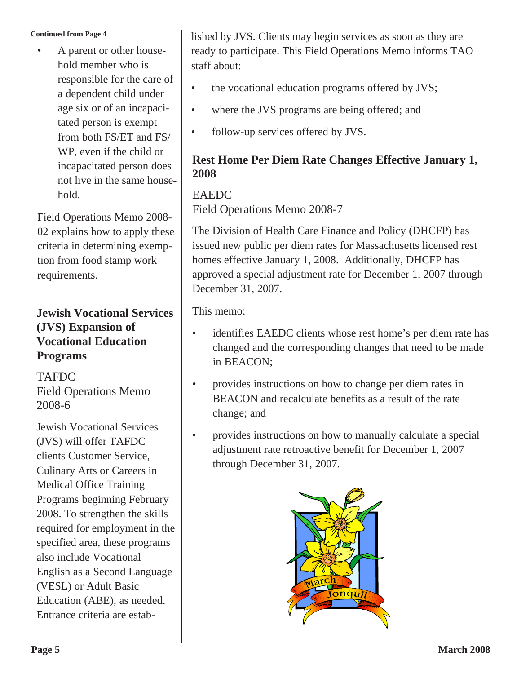#### **Continued from Page 4**

• A parent or other household member who is responsible for the care of a dependent child under age six or of an incapacitated person is exempt from both FS/ET and FS/ WP, even if the child or incapacitated person does not live in the same household.

Field Operations Memo 2008- 02 explains how to apply these criteria in determining exemption from food stamp work requirements.

#### **Jewish Vocational Services (JVS) Expansion of Vocational Education Programs**

**TAFDC** Field Operations Memo 2008-6

Jewish Vocational Services (JVS) will offer TAFDC clients Customer Service, Culinary Arts or Careers in Medical Office Training Programs beginning February 2008. To strengthen the skills required for employment in the specified area, these programs also include Vocational English as a Second Language (VESL) or Adult Basic Education (ABE), as needed. Entrance criteria are established by JVS. Clients may begin services as soon as they are ready to participate. This Field Operations Memo informs TAO staff about:

- the vocational education programs offered by JVS;
- where the JVS programs are being offered; and
- follow-up services offered by JVS.

#### **Rest Home Per Diem Rate Changes Effective January 1, 2008**

#### EAEDC

Field Operations Memo 2008-7

The Division of Health Care Finance and Policy (DHCFP) has issued new public per diem rates for Massachusetts licensed rest homes effective January 1, 2008. Additionally, DHCFP has approved a special adjustment rate for December 1, 2007 through December 31, 2007.

This memo:

- identifies EAEDC clients whose rest home's per diem rate has changed and the corresponding changes that need to be made in BEACON;
- provides instructions on how to change per diem rates in BEACON and recalculate benefits as a result of the rate change; and
- provides instructions on how to manually calculate a special adjustment rate retroactive benefit for December 1, 2007 through December 31, 2007.

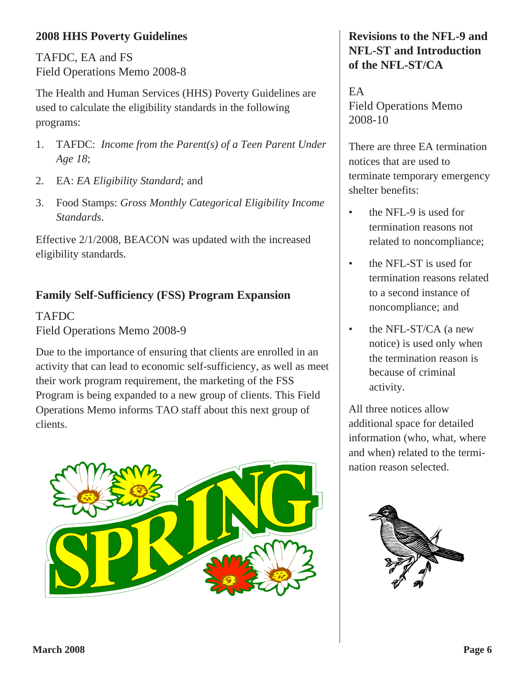#### **2008 HHS Poverty Guidelines**

TAFDC, EA and FS Field Operations Memo 2008-8

The Health and Human Services (HHS) Poverty Guidelines are used to calculate the eligibility standards in the following programs:

- 1. TAFDC: *Income from the Parent(s) of a Teen Parent Under Age 18*;
- 2. EA: *EA Eligibility Standard*; and
- 3. Food Stamps: *Gross Monthly Categorical Eligibility Income Standards*.

Effective 2/1/2008, BEACON was updated with the increased eligibility standards.

## **Family Self-Sufficiency (FSS) Program Expansion**

TAFDC Field Operations Memo 2008-9

Due to the importance of ensuring that clients are enrolled in an activity that can lead to economic self-sufficiency, as well as meet their work program requirement, the marketing of the FSS Program is being expanded to a new group of clients. This Field Operations Memo informs TAO staff about this next group of clients.



#### **Revisions to the NFL-9 and NFL-ST and Introduction of the NFL-ST/CA**

EA Field Operations Memo 2008-10

There are three EA termination notices that are used to terminate temporary emergency shelter benefits:

- the NFL-9 is used for termination reasons not related to noncompliance;
- the NFL-ST is used for termination reasons related to a second instance of noncompliance; and
- the NFL-ST/CA (a new notice) is used only when the termination reason is because of criminal activity.

All three notices allow additional space for detailed information (who, what, where and when) related to the termination reason selected.

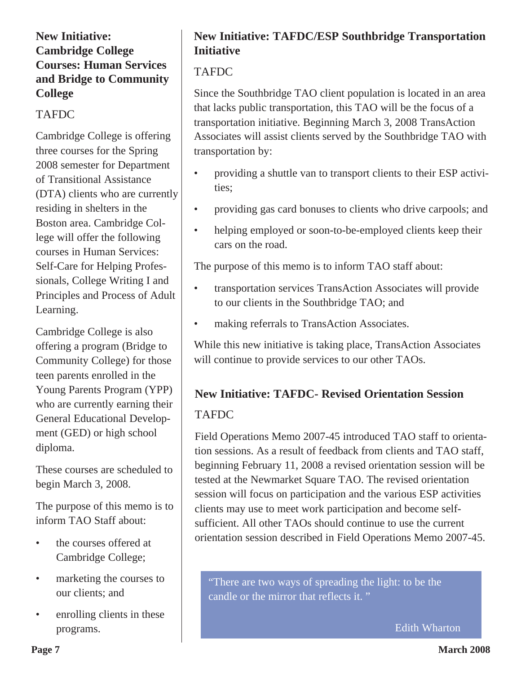#### **New Initiative: Cambridge College Courses: Human Services and Bridge to Community College**

#### TAFDC

Cambridge College is offering three courses for the Spring 2008 semester for Department of Transitional Assistance (DTA) clients who are currently residing in shelters in the Boston area. Cambridge College will offer the following courses in Human Services: Self-Care for Helping Professionals, College Writing I and Principles and Process of Adult Learning.

Cambridge College is also offering a program (Bridge to Community College) for those teen parents enrolled in the Young Parents Program (YPP) who are currently earning their General Educational Development (GED) or high school diploma.

These courses are scheduled to begin March 3, 2008.

The purpose of this memo is to inform TAO Staff about:

- the courses offered at Cambridge College;
- marketing the courses to our clients; and
- enrolling clients in these programs.

## **New Initiative: TAFDC/ESP Southbridge Transportation Initiative**

#### **TAFDC**

Since the Southbridge TAO client population is located in an area that lacks public transportation, this TAO will be the focus of a transportation initiative. Beginning March 3, 2008 TransAction Associates will assist clients served by the Southbridge TAO with transportation by:

- providing a shuttle van to transport clients to their ESP activities;
- providing gas card bonuses to clients who drive carpools; and
- helping employed or soon-to-be-employed clients keep their cars on the road.

The purpose of this memo is to inform TAO staff about:

- transportation services TransAction Associates will provide to our clients in the Southbridge TAO; and
- making referrals to TransAction Associates.

While this new initiative is taking place, TransAction Associates will continue to provide services to our other TAOs.

# **New Initiative: TAFDC- Revised Orientation Session** TAFDC

Field Operations Memo 2007-45 introduced TAO staff to orientation sessions. As a result of feedback from clients and TAO staff, beginning February 11, 2008 a revised orientation session will be tested at the Newmarket Square TAO. The revised orientation session will focus on participation and the various ESP activities clients may use to meet work participation and become selfsufficient. All other TAOs should continue to use the current orientation session described in Field Operations Memo 2007-45.

"There are two ways of spreading the light: to be the candle or the mirror that reflects it. "

Edith Wharton